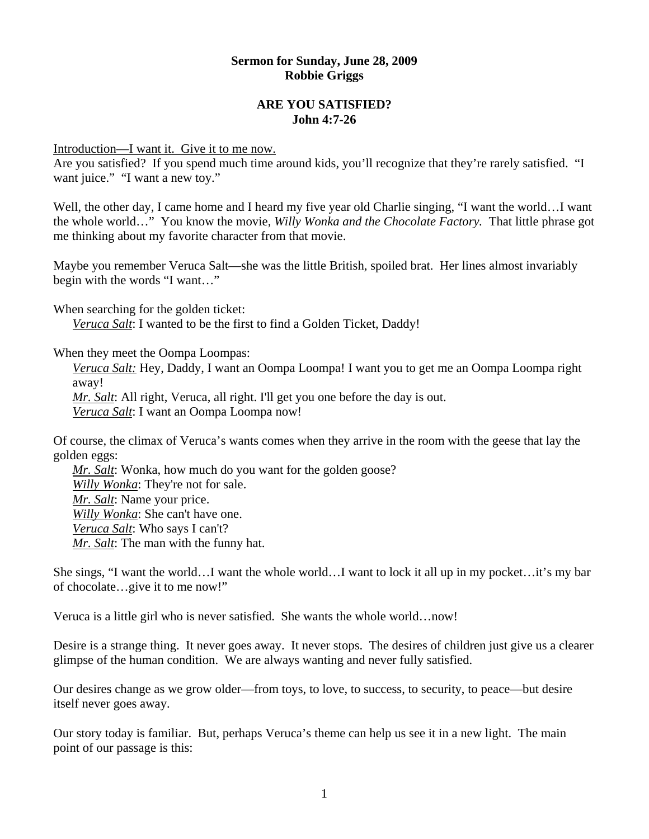### **Sermon for Sunday, June 28, 2009 Robbie Griggs**

## **ARE YOU SATISFIED? John 4:7-26**

Introduction—I want it. Give it to me now.

Are you satisfied? If you spend much time around kids, you'll recognize that they're rarely satisfied. "I want juice." "I want a new toy."

Well, the other day, I came home and I heard my five year old Charlie singing, "I want the world…I want the whole world…" You know the movie, *Willy Wonka and the Chocolate Factory.* That little phrase got me thinking about my favorite character from that movie.

Maybe you remember Veruca Salt—she was the little British, spoiled brat. Her lines almost invariably begin with the words "I want…"

When searching for the golden ticket:

*[Veruca Salt](http://www.imdb.com/name/nm0170628/)*: I wanted to be the first to find a Golden Ticket, Daddy!

When they meet the Oompa Loompas:

*Veruca Salt:* Hey, Daddy, I want an Oompa Loompa! I want you to get me an Oompa Loompa right away!

*[Mr. Salt](http://www.imdb.com/name/nm0455702/)*: All right, Veruca, all right. I'll get you one before the day is out. *[Veruca Salt](http://www.imdb.com/name/nm0170628/)*: I want an Oompa Loompa now!

Of course, the climax of Veruca's wants comes when they arrive in the room with the geese that lay the golden eggs:

*[Mr. Salt](http://www.imdb.com/name/nm0455702/)*: Wonka, how much do you want for the golden goose? *[Willy Wonka](http://www.imdb.com/name/nm0000698/)*: They're not for sale. *[Mr. Salt](http://www.imdb.com/name/nm0455702/)*: Name your price. *[Willy Wonka](http://www.imdb.com/name/nm0000698/)*: She can't have one. *[Veruca Salt](http://www.imdb.com/name/nm0170628/)*: Who says I can't? *[Mr. Salt](http://www.imdb.com/name/nm0455702/)*: The man with the funny hat.

She sings, "I want the world…I want the whole world…I want to lock it all up in my pocket…it's my bar of chocolate…give it to me now!"

Veruca is a little girl who is never satisfied. She wants the whole world…now!

Desire is a strange thing. It never goes away. It never stops. The desires of children just give us a clearer glimpse of the human condition. We are always wanting and never fully satisfied.

Our desires change as we grow older—from toys, to love, to success, to security, to peace—but desire itself never goes away.

Our story today is familiar. But, perhaps Veruca's theme can help us see it in a new light. The main point of our passage is this: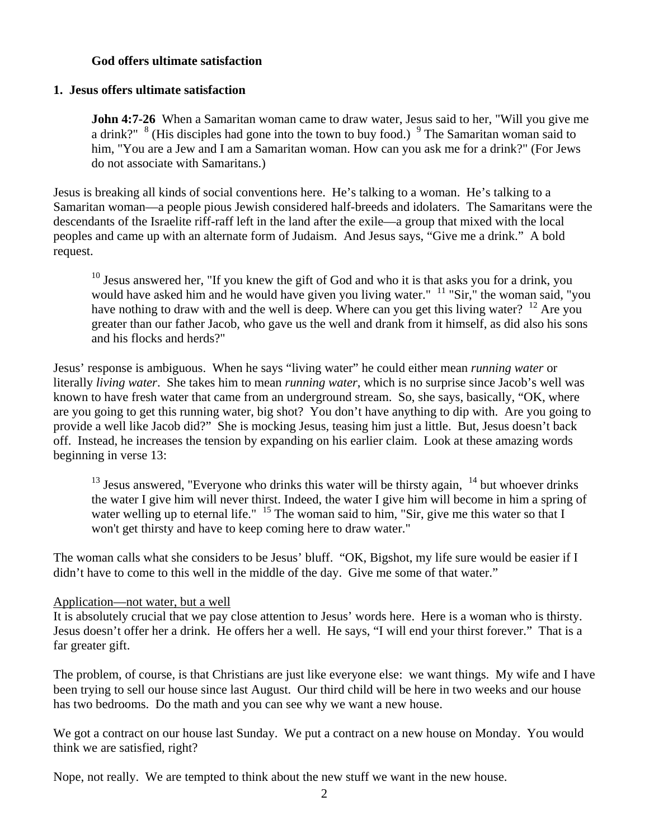# **God offers ultimate satisfaction**

# **1. Jesus offers ultimate satisfaction**

**John 4:7-26** When a Samaritan woman came to draw water, Jesus said to her, "Will you give me a drink?"  $8$  (His disciples had gone into the town to buy food.)  $9$  The Samaritan woman said to him, "You are a Jew and I am a Samaritan woman. How can you ask me for a drink?" (For Jews do not associate with Samaritans.)

Jesus is breaking all kinds of social conventions here. He's talking to a woman. He's talking to a Samaritan woman—a people pious Jewish considered half-breeds and idolaters. The Samaritans were the descendants of the Israelite riff-raff left in the land after the exile—a group that mixed with the local peoples and came up with an alternate form of Judaism. And Jesus says, "Give me a drink." A bold request.

 $10$  Jesus answered her, "If you knew the gift of God and who it is that asks you for a drink, you would have asked him and he would have given you living water." <sup>11</sup> "Sir," the woman said, "you have nothing to draw with and the well is deep. Where can you get this living water?  $12$  Are you greater than our father Jacob, who gave us the well and drank from it himself, as did also his sons and his flocks and herds?"

Jesus' response is ambiguous. When he says "living water" he could either mean *running water* or literally *living water*. She takes him to mean *running water*, which is no surprise since Jacob's well was known to have fresh water that came from an underground stream. So, she says, basically, "OK, where are you going to get this running water, big shot? You don't have anything to dip with. Are you going to provide a well like Jacob did?" She is mocking Jesus, teasing him just a little. But, Jesus doesn't back off. Instead, he increases the tension by expanding on his earlier claim. Look at these amazing words beginning in verse 13:

 $13$  Jesus answered, "Everyone who drinks this water will be thirsty again,  $14$  but whoever drinks the water I give him will never thirst. Indeed, the water I give him will become in him a spring of water welling up to eternal life."  $15$  The woman said to him, "Sir, give me this water so that I won't get thirsty and have to keep coming here to draw water."

The woman calls what she considers to be Jesus' bluff. "OK, Bigshot, my life sure would be easier if I didn't have to come to this well in the middle of the day. Give me some of that water."

## Application—not water, but a well

It is absolutely crucial that we pay close attention to Jesus' words here. Here is a woman who is thirsty. Jesus doesn't offer her a drink. He offers her a well. He says, "I will end your thirst forever." That is a far greater gift.

The problem, of course, is that Christians are just like everyone else: we want things. My wife and I have been trying to sell our house since last August. Our third child will be here in two weeks and our house has two bedrooms. Do the math and you can see why we want a new house.

We got a contract on our house last Sunday. We put a contract on a new house on Monday. You would think we are satisfied, right?

Nope, not really. We are tempted to think about the new stuff we want in the new house.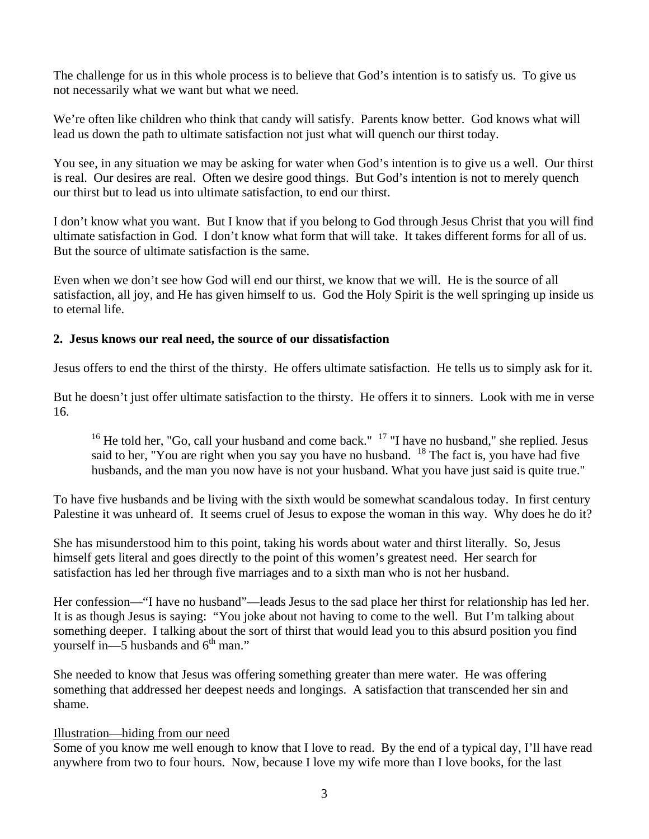The challenge for us in this whole process is to believe that God's intention is to satisfy us. To give us not necessarily what we want but what we need.

We're often like children who think that candy will satisfy. Parents know better. God knows what will lead us down the path to ultimate satisfaction not just what will quench our thirst today.

You see, in any situation we may be asking for water when God's intention is to give us a well. Our thirst is real. Our desires are real. Often we desire good things. But God's intention is not to merely quench our thirst but to lead us into ultimate satisfaction, to end our thirst.

I don't know what you want. But I know that if you belong to God through Jesus Christ that you will find ultimate satisfaction in God. I don't know what form that will take. It takes different forms for all of us. But the source of ultimate satisfaction is the same.

Even when we don't see how God will end our thirst, we know that we will. He is the source of all satisfaction, all joy, and He has given himself to us. God the Holy Spirit is the well springing up inside us to eternal life.

# **2. Jesus knows our real need, the source of our dissatisfaction**

Jesus offers to end the thirst of the thirsty. He offers ultimate satisfaction. He tells us to simply ask for it.

But he doesn't just offer ultimate satisfaction to the thirsty. He offers it to sinners. Look with me in verse 16.

<sup>16</sup> He told her, "Go, call your husband and come back." <sup>17</sup> "I have no husband," she replied. Jesus said to her, "You are right when you say you have no husband.  $18$  The fact is, you have had five husbands, and the man you now have is not your husband. What you have just said is quite true."

To have five husbands and be living with the sixth would be somewhat scandalous today. In first century Palestine it was unheard of. It seems cruel of Jesus to expose the woman in this way. Why does he do it?

She has misunderstood him to this point, taking his words about water and thirst literally. So, Jesus himself gets literal and goes directly to the point of this women's greatest need. Her search for satisfaction has led her through five marriages and to a sixth man who is not her husband.

Her confession—"I have no husband"—leads Jesus to the sad place her thirst for relationship has led her. It is as though Jesus is saying: "You joke about not having to come to the well. But I'm talking about something deeper. I talking about the sort of thirst that would lead you to this absurd position you find yourself in—5 husbands and  $6<sup>th</sup>$  man."

She needed to know that Jesus was offering something greater than mere water. He was offering something that addressed her deepest needs and longings. A satisfaction that transcended her sin and shame.

## Illustration—hiding from our need

Some of you know me well enough to know that I love to read. By the end of a typical day, I'll have read anywhere from two to four hours. Now, because I love my wife more than I love books, for the last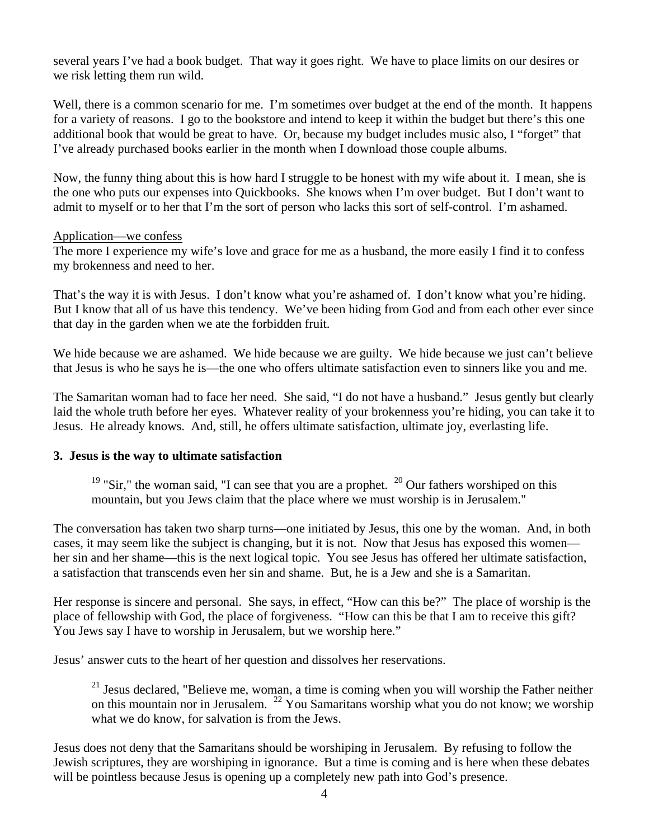several years I've had a book budget. That way it goes right. We have to place limits on our desires or we risk letting them run wild.

Well, there is a common scenario for me. I'm sometimes over budget at the end of the month. It happens for a variety of reasons. I go to the bookstore and intend to keep it within the budget but there's this one additional book that would be great to have. Or, because my budget includes music also, I "forget" that I've already purchased books earlier in the month when I download those couple albums.

Now, the funny thing about this is how hard I struggle to be honest with my wife about it. I mean, she is the one who puts our expenses into Quickbooks. She knows when I'm over budget. But I don't want to admit to myself or to her that I'm the sort of person who lacks this sort of self-control. I'm ashamed.

#### Application—we confess

The more I experience my wife's love and grace for me as a husband, the more easily I find it to confess my brokenness and need to her.

That's the way it is with Jesus. I don't know what you're ashamed of. I don't know what you're hiding. But I know that all of us have this tendency. We've been hiding from God and from each other ever since that day in the garden when we ate the forbidden fruit.

We hide because we are ashamed. We hide because we are guilty. We hide because we just can't believe that Jesus is who he says he is—the one who offers ultimate satisfaction even to sinners like you and me.

The Samaritan woman had to face her need. She said, "I do not have a husband." Jesus gently but clearly laid the whole truth before her eyes. Whatever reality of your brokenness you're hiding, you can take it to Jesus. He already knows. And, still, he offers ultimate satisfaction, ultimate joy, everlasting life.

## **3. Jesus is the way to ultimate satisfaction**

<sup>19</sup> "Sir," the woman said, "I can see that you are a prophet. <sup>20</sup> Our fathers worshiped on this mountain, but you Jews claim that the place where we must worship is in Jerusalem."

The conversation has taken two sharp turns—one initiated by Jesus, this one by the woman. And, in both cases, it may seem like the subject is changing, but it is not. Now that Jesus has exposed this women her sin and her shame—this is the next logical topic. You see Jesus has offered her ultimate satisfaction, a satisfaction that transcends even her sin and shame. But, he is a Jew and she is a Samaritan.

Her response is sincere and personal. She says, in effect, "How can this be?" The place of worship is the place of fellowship with God, the place of forgiveness. "How can this be that I am to receive this gift? You Jews say I have to worship in Jerusalem, but we worship here."

Jesus' answer cuts to the heart of her question and dissolves her reservations.

 $21$  Jesus declared, "Believe me, woman, a time is coming when you will worship the Father neither on this mountain nor in Jerusalem. 22 You Samaritans worship what you do not know; we worship what we do know, for salvation is from the Jews.

Jesus does not deny that the Samaritans should be worshiping in Jerusalem. By refusing to follow the Jewish scriptures, they are worshiping in ignorance. But a time is coming and is here when these debates will be pointless because Jesus is opening up a completely new path into God's presence.